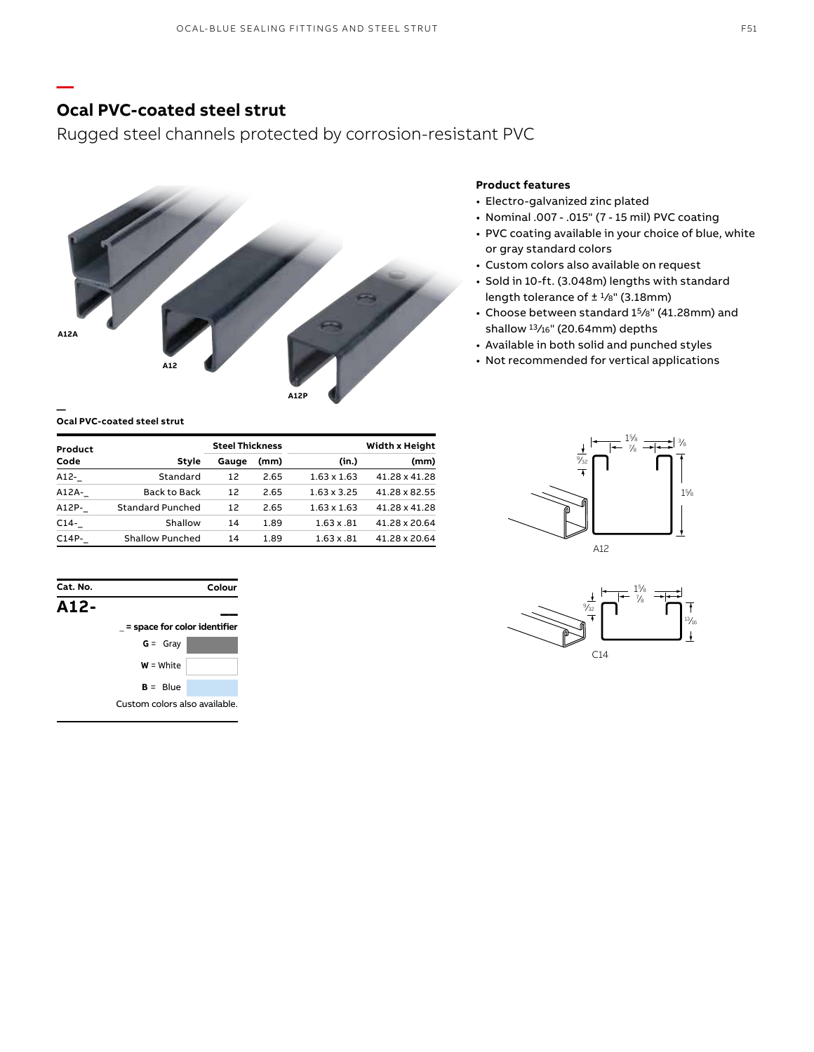## **Ocal PVC-coated steel strut**

**—**

Rugged steel channels protected by corrosion-resistant PVC



#### **Ocal PVC-coated steel strut**

| Product |                         | <b>Steel Thickness</b> |      | Width x Height     |               |
|---------|-------------------------|------------------------|------|--------------------|---------------|
| Code    | Style                   | Gauge                  | (mm) | (in.)              | (mm)          |
| A12-    | Standard                | 12                     | 2.65 | $1.63 \times 1.63$ | 41.28 x 41.28 |
| A12A-   | Back to Back            | 12                     | 2.65 | $1.63 \times 3.25$ | 41.28 x 82.55 |
| A12P-   | <b>Standard Punched</b> | 12                     | 2.65 | $1.63 \times 1.63$ | 41.28 x 41.28 |
| $C14-$  | Shallow                 | 14                     | 1.89 | $1.63 \times .81$  | 41.28 x 20.64 |
| $C14P-$ | Shallow Punched         | 14                     | 1.89 | $1.63 \times .81$  | 41.28 x 20.64 |



### **Product features**

- Electro-galvanized zinc plated
- Nominal .007 .015" (7 15 mil) PVC coating
- PVC coating available in your choice of blue, white or gray standard colors
- Custom colors also available on request
- Sold in 10-ft. (3.048m) lengths with standard length tolerance of  $\pm$  1/8" (3.18mm)
- Choose between standard 15⁄8" (41.28mm) and shallow 13/16" (20.64mm) depths
- Available in both solid and punched styles
- Not recommended for vertical applications



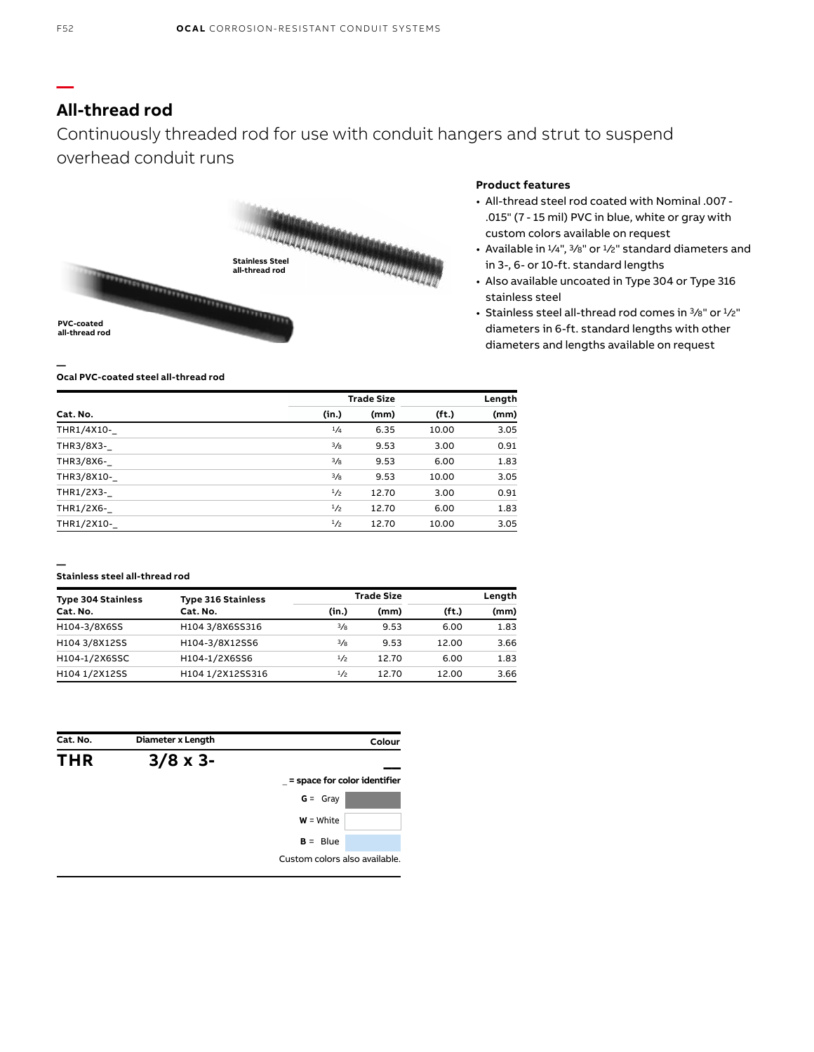## **All-thread rod**

Continuously threaded rod for use with conduit hangers and strut to suspend overhead conduit runs



### **Product features**

- All-thread steel rod coated with Nominal .007 .015" (7 - 15 mil) PVC in blue, white or gray with custom colors available on request
- Available in  $\frac{1}{4}$ ",  $\frac{3}{8}$ " or  $\frac{1}{2}$ " standard diameters and in 3-, 6- or 10-ft. standard lengths
- Also available uncoated in Type 304 or Type 316 stainless steel
- Stainless steel all-thread rod comes in  $\frac{3}{8}$ " or  $\frac{1}{2}$ " diameters in 6-ft. standard lengths with other diameters and lengths available on request

#### **Ocal PVC-coated steel all-thread rod**

|            | <b>Trade Size</b> |       |                   | Length |  |
|------------|-------------------|-------|-------------------|--------|--|
| Cat. No.   | (in.)             | (mm)  | (f <sub>t</sub> ) | (mm)   |  |
| THR1/4X10- | 1/4               | 6.35  | 10.00             | 3.05   |  |
| THR3/8X3-  | $^{3}/_{8}$       | 9.53  | 3.00              | 0.91   |  |
| THR3/8X6-  | $^{3}/_{8}$       | 9.53  | 6.00              | 1.83   |  |
| THR3/8X10- | $^{3}/_{8}$       | 9.53  | 10.00             | 3.05   |  |
| THR1/2X3-  | 1/2               | 12.70 | 3.00              | 0.91   |  |
| THR1/2X6-  | 1/2               | 12.70 | 6.00              | 1.83   |  |
| THR1/2X10- | 1/2               | 12.70 | 10.00             | 3.05   |  |

#### **— Stainless steel all-thread rod**

| <b>Type 304 Stainless</b> | <b>Type 316 Stainless</b><br>Cat. No. |               | <b>Trade Size</b> | Length            |      |  |
|---------------------------|---------------------------------------|---------------|-------------------|-------------------|------|--|
| Cat. No.                  |                                       | (in.)         | (mm)              | (f <sub>t</sub> ) | (mm) |  |
| H104-3/8X6SS              | H104 3/8X6SS316                       | $\frac{3}{8}$ | 9.53              | 6.00              | 1.83 |  |
| H104 3/8X12SS             | H104-3/8X12SS6                        | $\frac{3}{8}$ | 9.53              | 12.00             | 3.66 |  |
| H104-1/2X6SSC             | H104-1/2X6SS6                         | 1/2           | 12.70             | 6.00              | 1.83 |  |
| H104 1/2X12SS             | H104 1/2X12SS316                      | 1/2           | 12.70             | 12.00             | 3.66 |  |

| Cat. No.   | Diameter x Length | Colour                        |
|------------|-------------------|-------------------------------|
| <b>THR</b> | $3/8 \times 3$ -  |                               |
|            |                   | = space for color identifier  |
|            |                   | $G = Gray$                    |
|            |                   | $W = White$                   |
|            |                   | $B = Blue$                    |
|            |                   | Custom colors also available. |

**—**

**—**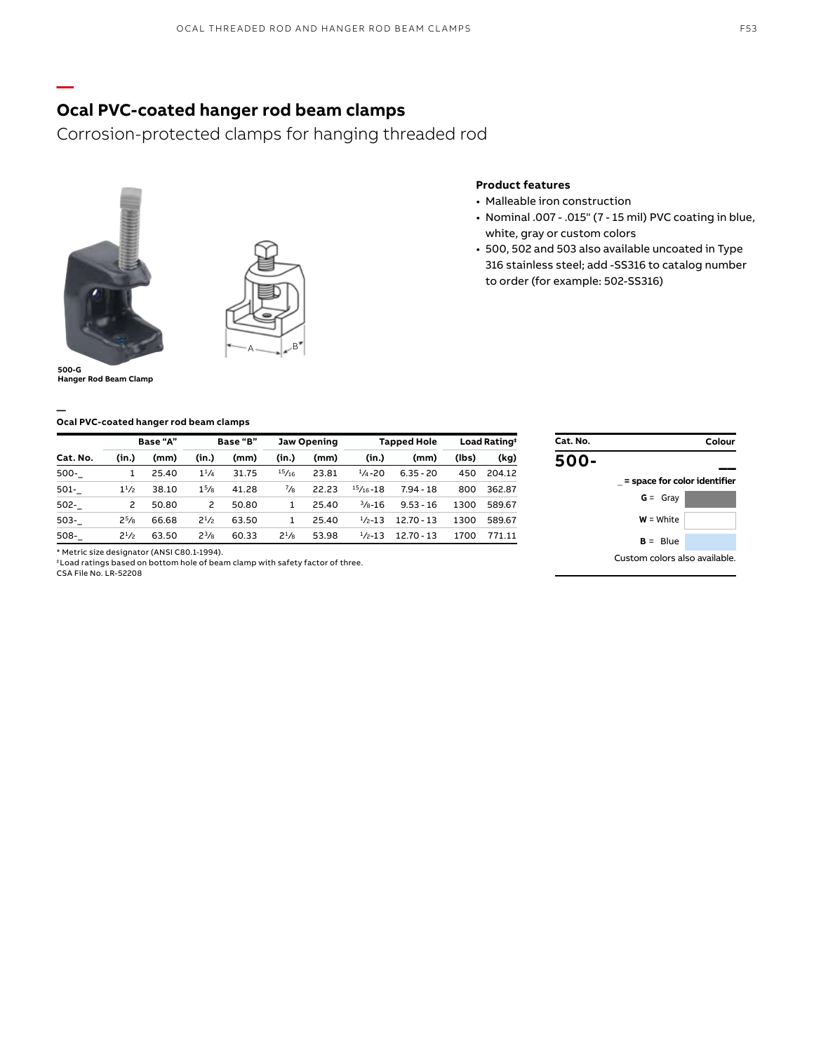#### F53

### **Ocal PVC-coated hanger rod beam clamps**

Corrosion-protected clamps for hanging threaded rod



**—**



### **Product features**

- Malleable iron construction
- Nominal .007 .015" (7 15 mil) PVC coating in blue, white, gray or custom colors
- 500, 502 and 503 also available uncoated in Type 316 stainless steel; add -SS316 to catalog number to order (for example: 502-SS316)

**500-G Hanger Rod Beam Clamp**

**—**

#### **Ocal PVC-coated hanger rod beam clamps**

|          |           | Base "A" |                   | Base "B" |           | Jaw Opening |                    | <b>Tapped Hole</b> |       | Load Rating <sup>+</sup> |
|----------|-----------|----------|-------------------|----------|-----------|-------------|--------------------|--------------------|-------|--------------------------|
| Cat. No. | (in.)     | (mm)     | (in.)             | (mm)     | (in.)     | (mm)        | (in.)              | (mm)               | (lbs) | (kg)                     |
| 500-     | 1         | 25.40    | $1^{1/4}$         | 31.75    | 15/16     | 23.81       | $\frac{1}{4}$ -20  | $6.35 - 20$        | 450   | 204.12                   |
| 501-     | $1^{1/2}$ | 38.10    | 1 <sup>5</sup> /8 | 41.28    | $^{7}/_8$ | 22.23       | $15/16 - 18$       | $7.94 - 18$        | 800   | 362.87                   |
| $502 -$  | 2         | 50.80    | 2                 | 50.80    |           | 25.40       | $\frac{3}{8} - 16$ | $9.53 - 16$        | 1300  | 589.67                   |
| $503 -$  | $2^{5}/8$ | 66.68    | $2^{1/2}$         | 63.50    |           | 25.40       | $1/2 - 13$         | $12.70 - 13$       | 1300  | 589.67                   |
| 508-     | $2^{1/2}$ | 63.50    | $2^{3}/8$         | 60.33    | $2^{1}/8$ | 53.98       | $1/2 - 13$         | $12.70 - 13$       | 1700  | 771.11                   |

|                               | Colour |
|-------------------------------|--------|
|                               |        |
| = space for color identifier  |        |
| $G = Gray$                    |        |
| $W = White$                   |        |
| $B = Blue$                    |        |
| Custom colors also available. |        |
|                               |        |

\* Metric size designator (ANSI C80.1-1994).

‡ Load ratings based on bottom hole of beam clamp with safety factor of three.

CSA File No. LR-52208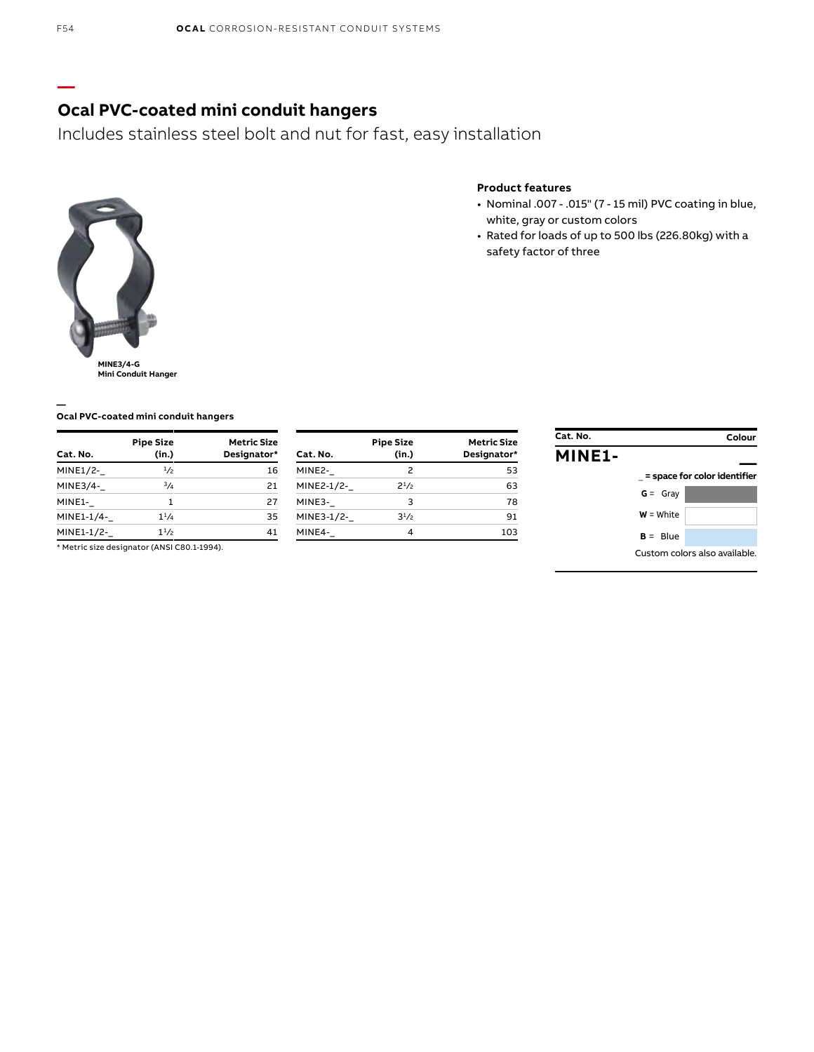# **Ocal PVC-coated mini conduit hangers**

Includes stainless steel bolt and nut for fast, easy installation



### **Product features**

- Nominal .007 .015" (7 15 mil) PVC coating in blue, white, gray or custom colors
- Rated for loads of up to 500 lbs (226.80kg) with a safety factor of three

**Ocal PVC-coated mini conduit hangers**

| Cat. No.   | <b>Pipe Size</b><br>(in.) | <b>Metric Size</b><br>Designator* |
|------------|---------------------------|-----------------------------------|
| MINE1/2-   | 1/2                       | 16                                |
| MINE3/4-   | 3/4                       | 21                                |
| MINE1-     | 1                         | 27                                |
| MINE1-1/4- | $1^{1}/_{4}$              | 35                                |
| MINE1-1/2- | 11/2                      | 41                                |

\* Metric size designator (ANSI C80.1-1994).

| Cat. No.   | <b>Pipe Size</b><br>(in.) | <b>Metric Size</b><br>Designator* |
|------------|---------------------------|-----------------------------------|
| MINE2-     | 2                         | 53                                |
| MINE2-1/2- | 21/2                      | 63                                |
| MINE3-     | 3                         | 78                                |
| MINE3-1/2- | $3^{1/2}$                 | 91                                |
| MINE4-     | 4                         | 103                               |

| Cat. No.      |             | Colour                        |
|---------------|-------------|-------------------------------|
| <b>MINE1-</b> |             |                               |
|               |             | = space for color identifier  |
|               | $G = Gray$  |                               |
|               | $W = White$ |                               |
|               | $B =$ Blue  |                               |
|               |             | Custom colors also available. |

**—**

**—**